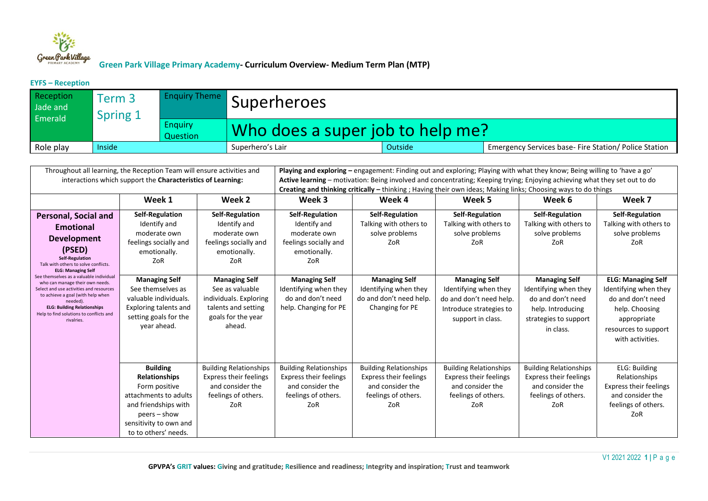

#### **EYFS – Reception**

| Reception<br>Jade and<br>Emerald | Term 3<br>Spring 1 | <b>Enquiry Theme</b>       | <i><b>I</b></i> Superheroes      |         |                                                       |  |  |
|----------------------------------|--------------------|----------------------------|----------------------------------|---------|-------------------------------------------------------|--|--|
|                                  |                    | <b>Enquiry</b><br>Question | Who does a super job to help me? |         |                                                       |  |  |
| Role play                        | Inside             |                            | Superhero's Lair                 | Outside | Emergency Services base- Fire Station/ Police Station |  |  |

| Throughout all learning, the Reception Team will ensure activities and<br>interactions which support the Characteristics of Learning:                                                                                                                                                                                                                                                                                                                   |                                                                                                                                                                               |                                                                                                                          | Playing and exploring - engagement: Finding out and exploring; Playing with what they know; Being willing to 'have a go'<br>Active learning – motivation: Being involved and concentrating; Keeping trying; Enjoying achieving what they set out to do<br>Creating and thinking critically - thinking; Having their own ideas; Making links; Choosing ways to do things |                                                                                                                  |                                                                                                                          |                                                                                                                               |                                                                                                                                                      |  |
|---------------------------------------------------------------------------------------------------------------------------------------------------------------------------------------------------------------------------------------------------------------------------------------------------------------------------------------------------------------------------------------------------------------------------------------------------------|-------------------------------------------------------------------------------------------------------------------------------------------------------------------------------|--------------------------------------------------------------------------------------------------------------------------|-------------------------------------------------------------------------------------------------------------------------------------------------------------------------------------------------------------------------------------------------------------------------------------------------------------------------------------------------------------------------|------------------------------------------------------------------------------------------------------------------|--------------------------------------------------------------------------------------------------------------------------|-------------------------------------------------------------------------------------------------------------------------------|------------------------------------------------------------------------------------------------------------------------------------------------------|--|
| Week 1<br>Week 2                                                                                                                                                                                                                                                                                                                                                                                                                                        |                                                                                                                                                                               |                                                                                                                          | Week 3                                                                                                                                                                                                                                                                                                                                                                  | Week 4                                                                                                           | Week 5                                                                                                                   | Week 6                                                                                                                        | Week 7                                                                                                                                               |  |
| <b>Personal, Social and</b><br><b>Emotional</b><br><b>Development</b><br>(PSED)<br><b>Self-Regulation</b><br>Talk with others to solve conflicts.<br><b>ELG: Managing Self</b><br>See themselves as a valuable individual<br>who can manage their own needs.<br>Select and use activities and resources<br>to achieve a goal (with help when<br>needed).<br><b>ELG: Building Relationships</b><br>Help to find solutions to conflicts and<br>rivalries. | <b>Self-Regulation</b><br>Identify and<br>moderate own<br>feelings socially and<br>emotionally.<br>ZoR                                                                        | <b>Self-Regulation</b><br>Identify and<br>moderate own<br>feelings socially and<br>emotionally.<br>ZoR                   | Self-Regulation<br>Identify and<br>moderate own<br>feelings socially and<br>emotionally.<br>ZoR                                                                                                                                                                                                                                                                         | <b>Self-Regulation</b><br>Talking with others to<br>solve problems<br>ZoR                                        | <b>Self-Regulation</b><br>Talking with others to<br>solve problems<br>ZoR                                                | <b>Self-Regulation</b><br>Talking with others to<br>solve problems<br>ZoR                                                     | Self-Regulation<br>Talking with others to<br>solve problems<br>ZoR                                                                                   |  |
|                                                                                                                                                                                                                                                                                                                                                                                                                                                         | <b>Managing Self</b><br>See themselves as<br>valuable individuals.<br>Exploring talents and<br>setting goals for the<br>year ahead.                                           | <b>Managing Self</b><br>See as valuable<br>individuals. Exploring<br>talents and setting<br>goals for the year<br>ahead. | <b>Managing Self</b><br>Identifying when they<br>do and don't need<br>help. Changing for PE                                                                                                                                                                                                                                                                             | <b>Managing Self</b><br>Identifying when they<br>do and don't need help.<br>Changing for PE                      | <b>Managing Self</b><br>Identifying when they<br>do and don't need help.<br>Introduce strategies to<br>support in class. | <b>Managing Self</b><br>Identifying when they<br>do and don't need<br>help. Introducing<br>strategies to support<br>in class. | <b>ELG: Managing Self</b><br>Identifying when they<br>do and don't need<br>help. Choosing<br>appropriate<br>resources to support<br>with activities. |  |
|                                                                                                                                                                                                                                                                                                                                                                                                                                                         | <b>Building</b><br><b>Relationships</b><br>Form positive<br>attachments to adults<br>and friendships with<br>$peers - show$<br>sensitivity to own and<br>to to others' needs. | <b>Building Relationships</b><br><b>Express their feelings</b><br>and consider the<br>feelings of others.<br>ZoR         | <b>Building Relationships</b><br><b>Express their feelings</b><br>and consider the<br>feelings of others.<br>ZoR                                                                                                                                                                                                                                                        | <b>Building Relationships</b><br><b>Express their feelings</b><br>and consider the<br>feelings of others.<br>ZoR | <b>Building Relationships</b><br><b>Express their feelings</b><br>and consider the<br>feelings of others.<br>ZoR         | <b>Building Relationships</b><br><b>Express their feelings</b><br>and consider the<br>feelings of others.<br>ZoR              | <b>ELG: Building</b><br>Relationships<br>Express their feelings<br>and consider the<br>feelings of others.<br>ZoR                                    |  |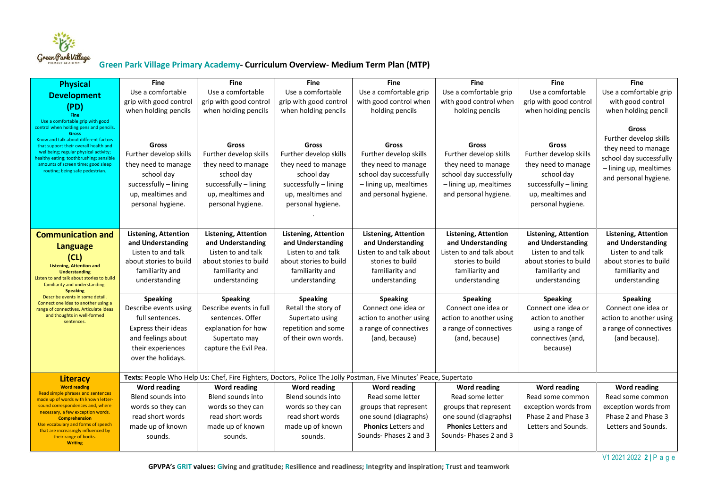

| <b>Physical</b><br><b>Development</b><br>(PD)<br>Fine                                                                                                                                                                                                                                                                                     | <b>Fine</b><br>Use a comfortable<br>grip with good control<br>when holding pencils                                                                  | <b>Fine</b><br>Use a comfortable<br>grip with good control<br>when holding pencils                                                      | <b>Fine</b><br>Use a comfortable<br>grip with good control<br>when holding pencils                                                      | <b>Fine</b><br>Use a comfortable grip<br>with good control when<br>holding pencils                                                        | <b>Fine</b><br>Use a comfortable grip<br>with good control when<br>holding pencils                                                        | <b>Fine</b><br>Use a comfortable<br>grip with good control<br>when holding pencils                                                      | <b>Fine</b><br>Use a comfortable grip<br>with good control<br>when holding pencil                                                    |
|-------------------------------------------------------------------------------------------------------------------------------------------------------------------------------------------------------------------------------------------------------------------------------------------------------------------------------------------|-----------------------------------------------------------------------------------------------------------------------------------------------------|-----------------------------------------------------------------------------------------------------------------------------------------|-----------------------------------------------------------------------------------------------------------------------------------------|-------------------------------------------------------------------------------------------------------------------------------------------|-------------------------------------------------------------------------------------------------------------------------------------------|-----------------------------------------------------------------------------------------------------------------------------------------|--------------------------------------------------------------------------------------------------------------------------------------|
| Use a comfortable grip with good<br>control when holding pens and pencils.<br><b>Gross</b><br>Know and talk about different factors<br>that support their overall health and<br>wellbeing; regular physical activity;<br>healthy eating; toothbrushing; sensible<br>amounts of screen time; good sleep<br>routine; being safe pedestrian. | Gross<br>Further develop skills<br>they need to manage<br>school day<br>successfully - lining<br>up, mealtimes and<br>personal hygiene.             | Gross<br>Further develop skills<br>they need to manage<br>school day<br>successfully - lining<br>up, mealtimes and<br>personal hygiene. | Gross<br>Further develop skills<br>they need to manage<br>school day<br>successfully - lining<br>up, mealtimes and<br>personal hygiene. | Gross<br>Further develop skills<br>they need to manage<br>school day successfully<br>- lining up, mealtimes<br>and personal hygiene.      | Gross<br>Further develop skills<br>they need to manage<br>school day successfully<br>- lining up, mealtimes<br>and personal hygiene.      | Gross<br>Further develop skills<br>they need to manage<br>school day<br>successfully - lining<br>up, mealtimes and<br>personal hygiene. | Gross<br>Further develop skills<br>they need to manage<br>school day successfully<br>- lining up, mealtimes<br>and personal hygiene. |
| <b>Communication and</b><br><b>Language</b><br>(CL)<br><b>Listening, Attention and</b><br><b>Understanding</b><br>Listen to and talk about stories to build<br>familiarity and understanding.<br><b>Speaking</b>                                                                                                                          | <b>Listening, Attention</b><br>and Understanding<br>Listen to and talk<br>about stories to build<br>familiarity and<br>understanding                | <b>Listening, Attention</b><br>and Understanding<br>Listen to and talk<br>about stories to build<br>familiarity and<br>understanding    | <b>Listening, Attention</b><br>and Understanding<br>Listen to and talk<br>about stories to build<br>familiarity and<br>understanding    | <b>Listening, Attention</b><br>and Understanding<br>Listen to and talk about<br>stories to build<br>familiarity and<br>understanding      | <b>Listening, Attention</b><br>and Understanding<br>Listen to and talk about<br>stories to build<br>familiarity and<br>understanding      | <b>Listening, Attention</b><br>and Understanding<br>Listen to and talk<br>about stories to build<br>familiarity and<br>understanding    | <b>Listening, Attention</b><br>and Understanding<br>Listen to and talk<br>about stories to build<br>familiarity and<br>understanding |
| Describe events in some detail<br>Connect one idea to another using a<br>range of connectives. Articulate ideas<br>and thoughts in well-formed<br>sentences.                                                                                                                                                                              | <b>Speaking</b><br>Describe events using<br>full sentences.<br>Express their ideas<br>and feelings about<br>their experiences<br>over the holidays. | <b>Speaking</b><br>Describe events in full<br>sentences. Offer<br>explanation for how<br>Supertato may<br>capture the Evil Pea.         | <b>Speaking</b><br>Retall the story of<br>Supertato using<br>repetition and some<br>of their own words.                                 | <b>Speaking</b><br>Connect one idea or<br>action to another using<br>a range of connectives<br>(and, because)                             | <b>Speaking</b><br>Connect one idea or<br>action to another using<br>a range of connectives<br>(and, because)                             | <b>Speaking</b><br>Connect one idea or<br>action to another<br>using a range of<br>connectives (and,<br>because)                        | <b>Speaking</b><br>Connect one idea or<br>action to another using<br>a range of connectives<br>(and because).                        |
| <b>Literacy</b>                                                                                                                                                                                                                                                                                                                           |                                                                                                                                                     |                                                                                                                                         |                                                                                                                                         | Texts: People Who Help Us: Chef, Fire Fighters, Doctors, Police The Jolly Postman, Five Minutes' Peace, Supertato                         |                                                                                                                                           |                                                                                                                                         |                                                                                                                                      |
| <b>Word reading</b><br>Read simple phrases and sentences<br>made up of words with known letter-<br>sound correspondences and, where<br>necessary, a few exception words.<br><b>Comprehension</b><br>Use vocabulary and forms of speech<br>that are increasingly influenced by<br>their range of books.<br><b>Writing</b>                  | Word reading<br>Blend sounds into<br>words so they can<br>read short words<br>made up of known<br>sounds.                                           | Word reading<br>Blend sounds into<br>words so they can<br>read short words<br>made up of known<br>sounds.                               | Word reading<br>Blend sounds into<br>words so they can<br>read short words<br>made up of known<br>sounds.                               | Word reading<br>Read some letter<br>groups that represent<br>one sound (diagraphs)<br><b>Phonics</b> Letters and<br>Sounds-Phases 2 and 3 | Word reading<br>Read some letter<br>groups that represent<br>one sound (diagraphs)<br><b>Phonics Letters and</b><br>Sounds-Phases 2 and 3 | <b>Word reading</b><br>Read some common<br>exception words from<br>Phase 2 and Phase 3<br>Letters and Sounds.                           | <b>Word reading</b><br>Read some common<br>exception words from<br>Phase 2 and Phase 3<br>Letters and Sounds.                        |

V1 2021 2022 **2 |** P a g e

 **GPVPA's GRIT values: Giving and gratitude; Resilience and readiness; Integrity and inspiration; Trust and teamwork**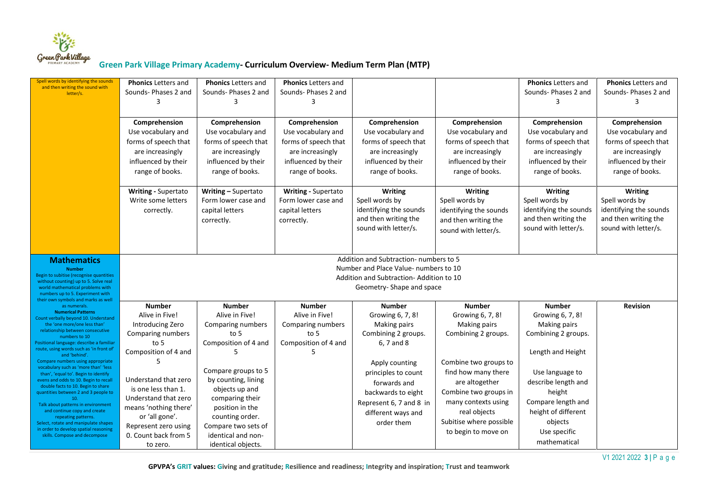

| Spell words by identifying the sounds<br>and then writing the sound with<br>letter/s.                                                                                                                                                                                                                                                                                                                                                                                                                                                                                                                                                                                                                                                             | <b>Phonics Letters and</b><br>Sounds- Phases 2 and<br>3<br>Comprehension<br>Use vocabulary and<br>forms of speech that                                                                                                                                                                   | <b>Phonics Letters and</b><br>Sounds- Phases 2 and<br>3<br>Comprehension<br>Use vocabulary and<br>forms of speech that                                                                                                                                                           | <b>Phonics Letters and</b><br>Sounds- Phases 2 and<br>3<br>Comprehension<br>Use vocabulary and<br>forms of speech that | Comprehension<br>Use vocabulary and<br>forms of speech that                                                                                                                                                                                 | Comprehension<br>Use vocabulary and<br>forms of speech that                                                                                                                                                                                                         | <b>Phonics</b> Letters and<br>Sounds- Phases 2 and<br>3<br>Comprehension<br>Use vocabulary and<br>forms of speech that                                                                                                                           | <b>Phonics</b> Letters and<br>Sounds- Phases 2 and<br>3<br>Comprehension<br>Use vocabulary and<br>forms of speech that |  |  |
|---------------------------------------------------------------------------------------------------------------------------------------------------------------------------------------------------------------------------------------------------------------------------------------------------------------------------------------------------------------------------------------------------------------------------------------------------------------------------------------------------------------------------------------------------------------------------------------------------------------------------------------------------------------------------------------------------------------------------------------------------|------------------------------------------------------------------------------------------------------------------------------------------------------------------------------------------------------------------------------------------------------------------------------------------|----------------------------------------------------------------------------------------------------------------------------------------------------------------------------------------------------------------------------------------------------------------------------------|------------------------------------------------------------------------------------------------------------------------|---------------------------------------------------------------------------------------------------------------------------------------------------------------------------------------------------------------------------------------------|---------------------------------------------------------------------------------------------------------------------------------------------------------------------------------------------------------------------------------------------------------------------|--------------------------------------------------------------------------------------------------------------------------------------------------------------------------------------------------------------------------------------------------|------------------------------------------------------------------------------------------------------------------------|--|--|
|                                                                                                                                                                                                                                                                                                                                                                                                                                                                                                                                                                                                                                                                                                                                                   | are increasingly<br>influenced by their<br>range of books.                                                                                                                                                                                                                               | are increasingly<br>influenced by their<br>range of books.                                                                                                                                                                                                                       | are increasingly<br>influenced by their<br>range of books.                                                             | are increasingly<br>influenced by their<br>range of books.                                                                                                                                                                                  | are increasingly<br>influenced by their<br>range of books.                                                                                                                                                                                                          | are increasingly<br>influenced by their<br>range of books.                                                                                                                                                                                       | are increasingly<br>influenced by their<br>range of books.                                                             |  |  |
|                                                                                                                                                                                                                                                                                                                                                                                                                                                                                                                                                                                                                                                                                                                                                   | <b>Writing - Supertato</b><br>Write some letters<br>correctly.                                                                                                                                                                                                                           | Writing - Supertato<br>Form lower case and<br>capital letters<br>correctly.                                                                                                                                                                                                      | <b>Writing - Supertato</b><br>Form lower case and<br>capital letters<br>correctly.                                     | <b>Writing</b><br>Spell words by<br>identifying the sounds<br>and then writing the<br>sound with letter/s.                                                                                                                                  | Writing<br>Spell words by<br>identifying the sounds<br>and then writing the<br>sound with letter/s.                                                                                                                                                                 | <b>Writing</b><br>Spell words by<br>identifying the sounds<br>and then writing the<br>sound with letter/s.                                                                                                                                       | Writing<br>Spell words by<br>identifying the sounds<br>and then writing the<br>sound with letter/s.                    |  |  |
| <b>Mathematics</b><br><b>Number</b><br>Begin to subitise (recognise quantities<br>without counting) up to 5. Solve real<br>world mathematical problems with<br>numbers up to 5. Experiment with<br>their own symbols and marks as well                                                                                                                                                                                                                                                                                                                                                                                                                                                                                                            | Addition and Subtraction-numbers to 5<br>Number and Place Value- numbers to 10<br>Addition and Subtraction-Addition to 10<br>Geometry-Shape and space                                                                                                                                    |                                                                                                                                                                                                                                                                                  |                                                                                                                        |                                                                                                                                                                                                                                             |                                                                                                                                                                                                                                                                     |                                                                                                                                                                                                                                                  |                                                                                                                        |  |  |
| as numerals.<br><b>Numerical Patterns</b><br>Count verbally beyond 10. Understand<br>the 'one more/one less than'<br>relationship between consecutive<br>numbers to 10<br>Positional language: describe a familiar<br>route, using words such as 'in front of'<br>and 'behind'.<br>Compare numbers using appropriate<br>vocabulary such as 'more than' 'less<br>than', 'equal to'. Begin to identify<br>evens and odds to 10. Begin to recall<br>double facts to 10. Begin to share<br>quantities between 2 and 3 people to<br>10.<br>Talk about patterns in environment<br>and continue copy and create<br>repeating patterns.<br>Select, rotate and manipulate shapes<br>in order to develop spatial reasoning<br>skills. Compose and decompose | <b>Number</b><br>Alive in Five!<br>Introducing Zero<br>Comparing numbers<br>to $5$<br>Composition of 4 and<br>Understand that zero<br>is one less than 1.<br>Understand that zero<br>means 'nothing there'<br>or 'all gone'.<br>Represent zero using<br>0. Count back from 5<br>to zero. | <b>Number</b><br>Alive in Five!<br>Comparing numbers<br>to 5<br>Composition of 4 and<br>Compare groups to 5<br>by counting, lining<br>objects up and<br>comparing their<br>position in the<br>counting order.<br>Compare two sets of<br>identical and non-<br>identical objects. | <b>Number</b><br>Alive in Five!<br>Comparing numbers<br>to 5<br>Composition of 4 and                                   | <b>Number</b><br>Growing 6, 7, 8!<br><b>Making pairs</b><br>Combining 2 groups.<br>6, 7 and 8<br>Apply counting<br>principles to count<br>forwards and<br>backwards to eight<br>Represent 6, 7 and 8 in<br>different ways and<br>order them | <b>Number</b><br>Growing 6, 7, 8!<br><b>Making pairs</b><br>Combining 2 groups.<br>Combine two groups to<br>find how many there<br>are altogether<br>Combine two groups in<br>many contexts using<br>real objects<br>Subitise where possible<br>to begin to move on | <b>Number</b><br>Growing 6, 7, 8!<br><b>Making pairs</b><br>Combining 2 groups.<br>Length and Height<br>Use language to<br>describe length and<br>height<br>Compare length and<br>height of different<br>objects<br>Use specific<br>mathematical | <b>Revision</b>                                                                                                        |  |  |

V1 2021 2022 **3 |** P a g e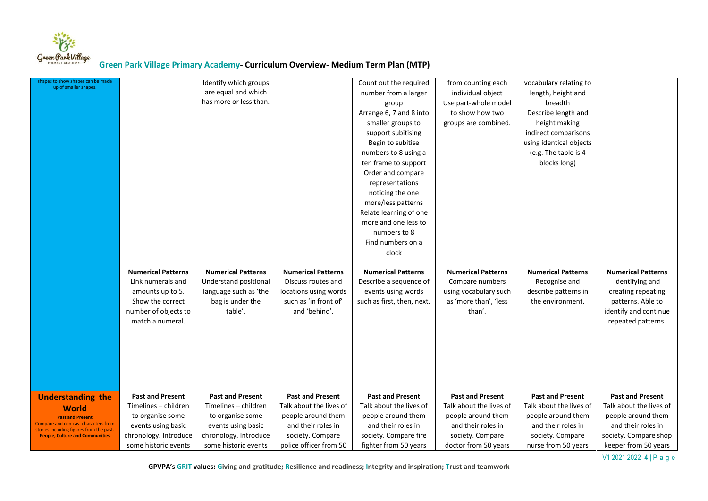

| shapes to show shapes can be made<br>up of smaller shapes.                       |                                               | Identify which groups                         |                                                | Count out the required                           | from counting each                             | vocabulary relating to                   |                                               |
|----------------------------------------------------------------------------------|-----------------------------------------------|-----------------------------------------------|------------------------------------------------|--------------------------------------------------|------------------------------------------------|------------------------------------------|-----------------------------------------------|
|                                                                                  |                                               | are equal and which                           |                                                | number from a larger                             | individual object                              | length, height and                       |                                               |
|                                                                                  |                                               | has more or less than.                        |                                                | group                                            | Use part-whole model                           | breadth                                  |                                               |
|                                                                                  |                                               |                                               |                                                | Arrange 6, 7 and 8 into                          | to show how two                                | Describe length and                      |                                               |
|                                                                                  |                                               |                                               |                                                | smaller groups to                                | groups are combined.                           | height making                            |                                               |
|                                                                                  |                                               |                                               |                                                | support subitising                               |                                                | indirect comparisons                     |                                               |
|                                                                                  |                                               |                                               |                                                | Begin to subitise                                |                                                | using identical objects                  |                                               |
|                                                                                  |                                               |                                               |                                                | numbers to 8 using a                             |                                                | (e.g. The table is 4)                    |                                               |
|                                                                                  |                                               |                                               |                                                | ten frame to support                             |                                                | blocks long)                             |                                               |
|                                                                                  |                                               |                                               |                                                | Order and compare                                |                                                |                                          |                                               |
|                                                                                  |                                               |                                               |                                                | representations                                  |                                                |                                          |                                               |
|                                                                                  |                                               |                                               |                                                | noticing the one                                 |                                                |                                          |                                               |
|                                                                                  |                                               |                                               |                                                | more/less patterns                               |                                                |                                          |                                               |
|                                                                                  |                                               |                                               |                                                | Relate learning of one                           |                                                |                                          |                                               |
|                                                                                  |                                               |                                               |                                                | more and one less to                             |                                                |                                          |                                               |
|                                                                                  |                                               |                                               |                                                | numbers to 8                                     |                                                |                                          |                                               |
|                                                                                  |                                               |                                               |                                                | Find numbers on a                                |                                                |                                          |                                               |
|                                                                                  |                                               |                                               |                                                | clock                                            |                                                |                                          |                                               |
|                                                                                  |                                               |                                               |                                                |                                                  |                                                |                                          |                                               |
|                                                                                  |                                               |                                               |                                                |                                                  |                                                |                                          |                                               |
|                                                                                  | <b>Numerical Patterns</b>                     | <b>Numerical Patterns</b>                     | <b>Numerical Patterns</b>                      | <b>Numerical Patterns</b>                        | <b>Numerical Patterns</b>                      | <b>Numerical Patterns</b>                | <b>Numerical Patterns</b>                     |
|                                                                                  | Link numerals and                             | Understand positional                         | Discuss routes and                             |                                                  | Compare numbers                                | Recognise and                            | Identifying and                               |
|                                                                                  | amounts up to 5.                              |                                               |                                                | Describe a sequence of                           |                                                |                                          | creating repeating                            |
|                                                                                  | Show the correct                              | language such as 'the                         | locations using words<br>such as 'in front of' | events using words<br>such as first, then, next. | using vocabulary such<br>as 'more than', 'less | describe patterns in<br>the environment. | patterns. Able to                             |
|                                                                                  |                                               | bag is under the<br>table'.                   | and 'behind'.                                  |                                                  | than'.                                         |                                          |                                               |
|                                                                                  | number of objects to<br>match a numeral.      |                                               |                                                |                                                  |                                                |                                          | identify and continue                         |
|                                                                                  |                                               |                                               |                                                |                                                  |                                                |                                          | repeated patterns.                            |
|                                                                                  |                                               |                                               |                                                |                                                  |                                                |                                          |                                               |
|                                                                                  |                                               |                                               |                                                |                                                  |                                                |                                          |                                               |
|                                                                                  |                                               |                                               |                                                |                                                  |                                                |                                          |                                               |
|                                                                                  |                                               |                                               |                                                |                                                  |                                                |                                          |                                               |
|                                                                                  |                                               |                                               |                                                |                                                  |                                                |                                          |                                               |
|                                                                                  |                                               |                                               |                                                |                                                  |                                                |                                          |                                               |
| <b>Understanding the</b>                                                         | <b>Past and Present</b>                       | <b>Past and Present</b>                       | <b>Past and Present</b>                        | <b>Past and Present</b>                          | <b>Past and Present</b>                        | <b>Past and Present</b>                  | <b>Past and Present</b>                       |
| <b>World</b>                                                                     | Timelines - children                          | Timelines - children                          | Talk about the lives of                        | Talk about the lives of                          | Talk about the lives of                        | Talk about the lives of                  | Talk about the lives of                       |
| <b>Past and Present</b>                                                          | to organise some                              | to organise some                              | people around them                             | people around them                               | people around them                             | people around them                       | people around them                            |
| Compare and contrast characters from<br>stories including figures from the past. | events using basic                            | events using basic                            | and their roles in                             | and their roles in                               | and their roles in                             | and their roles in                       | and their roles in                            |
| <b>People, Culture and Communities</b>                                           | chronology. Introduce<br>some historic events | chronology. Introduce<br>some historic events | society. Compare<br>police officer from 50     | society. Compare fire<br>fighter from 50 years   | society. Compare<br>doctor from 50 years       | society. Compare<br>nurse from 50 years  | society. Compare shop<br>keeper from 50 years |

V1 2021 2022 **4 |** P a g e

 **GPVPA's GRIT values: Giving and gratitude; Resilience and readiness; Integrity and inspiration; Trust and teamwork**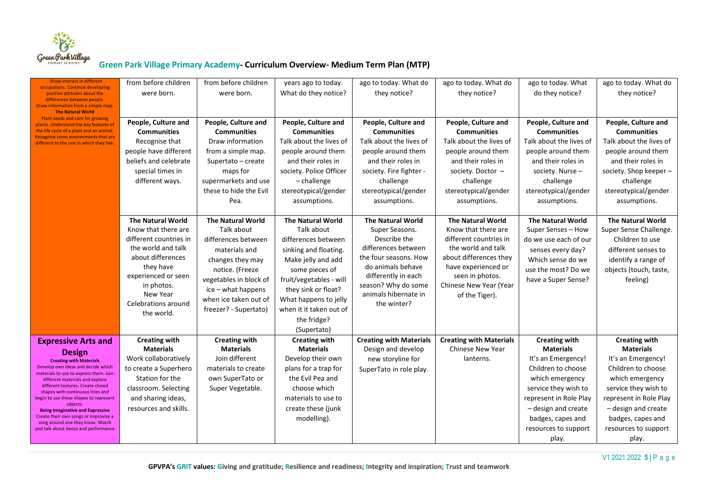

| Show interest in different                                                       | from before children     | from before children     | years ago to today.      | ago to today. What do          | ago to today. What do          | ago to today. What       | ago to today. What do    |
|----------------------------------------------------------------------------------|--------------------------|--------------------------|--------------------------|--------------------------------|--------------------------------|--------------------------|--------------------------|
| occupations. Continue developing<br>positive attitudes about the                 | were born.               | were born.               | What do they notice?     | they notice?                   | they notice?                   | do they notice?          | they notice?             |
| differences between people.<br>Draw information from a simple map.               |                          |                          |                          |                                |                                |                          |                          |
| <b>The Natural World</b><br>Plant seeds and care for growing                     |                          |                          |                          |                                |                                |                          |                          |
| plants. Understand the key features of                                           | People, Culture and      | People, Culture and      | People, Culture and      | People, Culture and            | People, Culture and            | People, Culture and      | People, Culture and      |
| the life cycle of a plant and an animal.<br>Recognise some environments that are | <b>Communities</b>       | <b>Communities</b>       | <b>Communities</b>       | <b>Communities</b>             | <b>Communities</b>             | <b>Communities</b>       | <b>Communities</b>       |
| different to the one in which they live.                                         | Recognise that           | Draw information         | Talk about the lives of  | Talk about the lives of        | Talk about the lives of        | Talk about the lives of  | Talk about the lives of  |
|                                                                                  | people have different    | from a simple map.       | people around them       | people around them             | people around them             | people around them       | people around them       |
|                                                                                  | beliefs and celebrate    | Supertato - create       | and their roles in       | and their roles in             | and their roles in             | and their roles in       | and their roles in       |
|                                                                                  | special times in         | maps for                 | society. Police Officer  | society. Fire fighter -        | society. Doctor -              | society. Nurse -         | society. Shop keeper -   |
|                                                                                  | different ways.          | supermarkets and use     | - challenge              | challenge                      | challenge                      | challenge                | challenge                |
|                                                                                  |                          | these to hide the Evil   | stereotypical/gender     | stereotypical/gender           | stereotypical/gender           | stereotypical/gender     | stereotypical/gender     |
|                                                                                  |                          | Pea.                     | assumptions.             | assumptions.                   | assumptions.                   | assumptions.             | assumptions.             |
|                                                                                  | <b>The Natural World</b> | <b>The Natural World</b> | <b>The Natural World</b> | <b>The Natural World</b>       | <b>The Natural World</b>       | <b>The Natural World</b> | <b>The Natural World</b> |
|                                                                                  | Know that there are      | Talk about               | Talk about               | Super Seasons.                 | Know that there are            | Super Senses - How       | Super Sense Challenge.   |
|                                                                                  | different countries in   | differences between      | differences between      | Describe the                   | different countries in         | do we use each of our    | Children to use          |
|                                                                                  | the world and talk       | materials and            | sinking and floating.    | differences between            | the world and talk             | senses every day?        | different senses to      |
|                                                                                  | about differences        | changes they may         | Make jelly and add       | the four seasons. How          | about differences they         | Which sense do we        | identify a range of      |
|                                                                                  | they have                | notice. (Freeze          | some pieces of           | do animals behave              | have experienced or            | use the most? Do we      | objects (touch, taste,   |
|                                                                                  | experienced or seen      | vegetables in block of   | fruit/vegetables - will  | differently in each            | seen in photos.                | have a Super Sense?      | feeling)                 |
|                                                                                  | in photos.               | ice - what happens       | they sink or float?      | season? Why do some            | Chinese New Year (Year         |                          |                          |
|                                                                                  | New Year                 | when ice taken out of    | What happens to jelly    | animals hibernate in           | of the Tiger).                 |                          |                          |
|                                                                                  | Celebrations around      | freezer? - Supertato)    | when it it taken out of  | the winter?                    |                                |                          |                          |
|                                                                                  | the world.               |                          | the fridge?              |                                |                                |                          |                          |
|                                                                                  |                          |                          | (Supertato)              |                                |                                |                          |                          |
| <b>Expressive Arts and</b>                                                       | <b>Creating with</b>     | <b>Creating with</b>     | <b>Creating with</b>     | <b>Creating with Materials</b> | <b>Creating with Materials</b> | <b>Creating with</b>     | <b>Creating with</b>     |
|                                                                                  | <b>Materials</b>         | <b>Materials</b>         | <b>Materials</b>         | Design and develop             | Chinese New Year               | <b>Materials</b>         | <b>Materials</b>         |
| <b>Design</b><br><b>Creating with Materials</b>                                  | Work collaboratively     | Join different           | Develop their own        | new storyline for              | lanterns.                      | It's an Emergency!       | It's an Emergency!       |
| Develop own ideas and decide which                                               | to create a Superhero    | materials to create      | plans for a trap for     | SuperTato in role play.        |                                | Children to choose       | Children to choose       |
| materials to use to express them. Join<br>different materials and explore        | Station for the          | own SuperTato or         | the Evil Pea and         |                                |                                | which emergency          | which emergency          |
| different textures. Create closed                                                | classroom. Selecting     | Super Vegetable.         | choose which             |                                |                                | service they wish to     | service they wish to     |
| shapes with continuous lines and<br>begin to use these shapes to represent       | and sharing ideas,       |                          | materials to use to      |                                |                                | represent in Role Play   | represent in Role Play   |
| objects.<br><b>Being Imaginative and Expressive</b>                              | resources and skills.    |                          | create these (junk       |                                |                                | - design and create      | - design and create      |
| Create their own songs or improvise a                                            |                          |                          | modelling).              |                                |                                | badges, capes and        | badges, capes and        |
| song around one they know. Watch<br>and talk about dance and performance         |                          |                          |                          |                                |                                | resources to support     | resources to support     |
|                                                                                  |                          |                          |                          |                                |                                | play.                    | play.                    |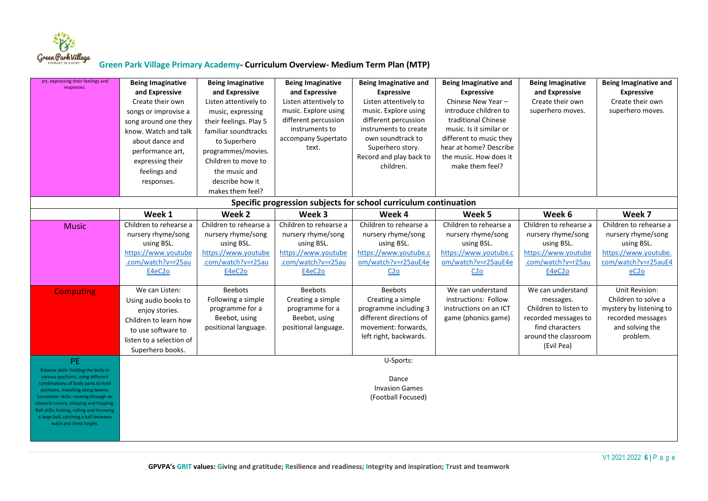

| art, expressing their feelings and<br>responses.                                                                                                                                                                                                                                                                                                                 | <b>Being Imaginative</b><br>and Expressive<br>Create their own<br>songs or improvise a<br>song around one they<br>know. Watch and talk<br>about dance and<br>performance art,<br>expressing their<br>feelings and<br>responses. | <b>Being Imaginative</b><br>and Expressive<br>Listen attentively to<br>music, expressing<br>their feelings. Play 5<br>familiar soundtracks<br>to Superhero<br>programmes/movies.<br>Children to move to<br>the music and<br>describe how it<br>makes them feel? | <b>Being Imaginative</b><br>and Expressive<br>Listen attentively to<br>music. Explore using<br>different percussion<br>instruments to<br>accompany Supertato<br>text. | <b>Being Imaginative and</b><br><b>Expressive</b><br>Listen attentively to<br>music. Explore using<br>different percussion<br>instruments to create<br>own soundtrack to<br>Superhero story.<br>Record and play back to<br>children. | <b>Being Imaginative and</b><br><b>Expressive</b><br>Chinese New Year -<br>introduce children to<br>traditional Chinese<br>music. Is it similar or<br>different to music they<br>hear at home? Describe<br>the music. How does it<br>make them feel? | <b>Being Imaginative</b><br>and Expressive<br>Create their own<br>superhero moves.                                                       | <b>Being Imaginative and</b><br><b>Expressive</b><br>Create their own<br>superhero moves.                                      |
|------------------------------------------------------------------------------------------------------------------------------------------------------------------------------------------------------------------------------------------------------------------------------------------------------------------------------------------------------------------|---------------------------------------------------------------------------------------------------------------------------------------------------------------------------------------------------------------------------------|-----------------------------------------------------------------------------------------------------------------------------------------------------------------------------------------------------------------------------------------------------------------|-----------------------------------------------------------------------------------------------------------------------------------------------------------------------|--------------------------------------------------------------------------------------------------------------------------------------------------------------------------------------------------------------------------------------|------------------------------------------------------------------------------------------------------------------------------------------------------------------------------------------------------------------------------------------------------|------------------------------------------------------------------------------------------------------------------------------------------|--------------------------------------------------------------------------------------------------------------------------------|
|                                                                                                                                                                                                                                                                                                                                                                  |                                                                                                                                                                                                                                 |                                                                                                                                                                                                                                                                 |                                                                                                                                                                       | Specific progression subjects for school curriculum continuation                                                                                                                                                                     |                                                                                                                                                                                                                                                      |                                                                                                                                          |                                                                                                                                |
|                                                                                                                                                                                                                                                                                                                                                                  | Week 1                                                                                                                                                                                                                          | Week 2                                                                                                                                                                                                                                                          | Week 3                                                                                                                                                                | Week 4                                                                                                                                                                                                                               | Week 5                                                                                                                                                                                                                                               | Week 6                                                                                                                                   | Week 7                                                                                                                         |
| <b>Music</b>                                                                                                                                                                                                                                                                                                                                                     | Children to rehearse a<br>nursery rhyme/song<br>using BSL.<br>https://www.youtube<br>.com/watch?v=r25au<br>E4eC2o                                                                                                               | Children to rehearse a<br>nursery rhyme/song<br>using BSL.<br>https://www.youtube<br>.com/watch?v=r25au<br>E4eC2o                                                                                                                                               | Children to rehearse a<br>nursery rhyme/song<br>using BSL.<br>https://www.youtube<br>.com/watch?v=r25au<br>E4eC2o                                                     | Children to rehearse a<br>nursery rhyme/song<br>using BSL.<br>https://www.youtube.c<br>om/watch?v=r25auE4e<br>C <sub>2</sub>                                                                                                         | Children to rehearse a<br>nursery rhyme/song<br>using BSL.<br>https://www.youtube.c<br>om/watch?v=r25auE4e<br>C2 <sub>0</sub>                                                                                                                        | Children to rehearse a<br>nursery rhyme/song<br>using BSL.<br>https://www.youtube<br>.com/watch?v=r25au<br>E4eC2o                        | Children to rehearse a<br>nursery rhyme/song<br>using BSL.<br>https://www.youtube.<br>com/watch?v=r25auE4<br>eC <sub>2</sub> o |
| <b>Computing</b>                                                                                                                                                                                                                                                                                                                                                 | We can Listen:<br>Using audio books to<br>enjoy stories.<br>Children to learn how<br>to use software to<br>listen to a selection of<br>Superhero books.                                                                         | <b>Beebots</b><br>Following a simple<br>programme for a<br>Beebot, using<br>positional language.                                                                                                                                                                | <b>Beebots</b><br>Creating a simple<br>programme for a<br>Beebot, using<br>positional language.                                                                       | <b>Beebots</b><br>Creating a simple<br>programme including 3<br>different directions of<br>movement: forwards,<br>left right, backwards.                                                                                             | We can understand<br>instructions: Follow<br>instructions on an ICT<br>game (phonics game)                                                                                                                                                           | We can understand<br>messages.<br>Children to listen to<br>recorded messages to<br>find characters<br>around the classroom<br>(Evil Pea) | Unit Revision:<br>Children to solve a<br>mystery by listening to<br>recorded messages<br>and solving the<br>problem.           |
| PE.<br>Balance skills: holding the body in<br>various positions, using different<br>combinations of body parts to hold<br>positions, travelling along beams.<br>Locomotor skills: running through an<br>obstacle course, skipping and hopping.<br>Ball skills: kicking, rolling and throwing<br>a large ball, catching a ball between<br>waist and chest height. |                                                                                                                                                                                                                                 |                                                                                                                                                                                                                                                                 |                                                                                                                                                                       | U-Sports:<br>Dance<br><b>Invasion Games</b><br>(Football Focused)                                                                                                                                                                    |                                                                                                                                                                                                                                                      |                                                                                                                                          |                                                                                                                                |